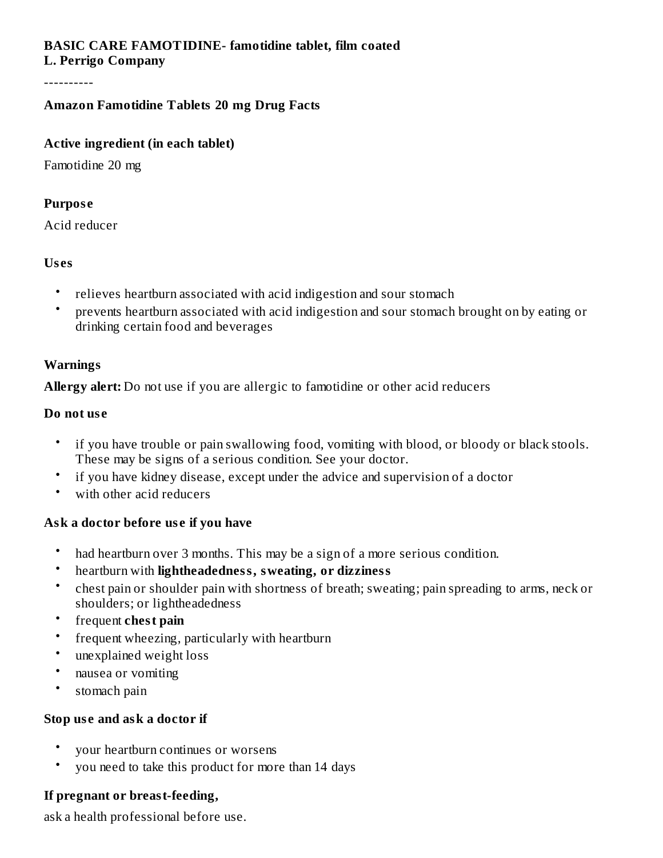#### **BASIC CARE FAMOTIDINE- famotidine tablet, film coated L. Perrigo Company**

----------

## **Amazon Famotidine Tablets 20 mg Drug Facts**

### **Active ingredient (in each tablet)**

Famotidine 20 mg

### **Purpos e**

Acid reducer

### **Us es**

- relieves heartburn associated with acid indigestion and sour stomach
- prevents heartburn associated with acid indigestion and sour stomach brought on by eating or drinking certain food and beverages

## **Warnings**

**Allergy alert:** Do not use if you are allergic to famotidine or other acid reducers

### **Do not us e**

- if you have trouble or pain swallowing food, vomiting with blood, or bloody or black stools. These may be signs of a serious condition. See your doctor.
- if you have kidney disease, except under the advice and supervision of a doctor
- with other acid reducers

# **Ask a doctor before us e if you have**

- had heartburn over 3 months. This may be a sign of a more serious condition.
- heartburn with **lightheadedness, sweating, or dizziness**
- chest pain or shoulder pain with shortness of breath; sweating; pain spreading to arms, neck or shoulders; or lightheadedness
- frequent **chest pain**
- frequent wheezing, particularly with heartburn
- unexplained weight loss
- nausea or vomiting
- stomach pain

### **Stop us e and ask a doctor if**

- your heartburn continues or worsens
- you need to take this product for more than 14 days

# **If pregnant or breast-feeding,**

ask a health professional before use.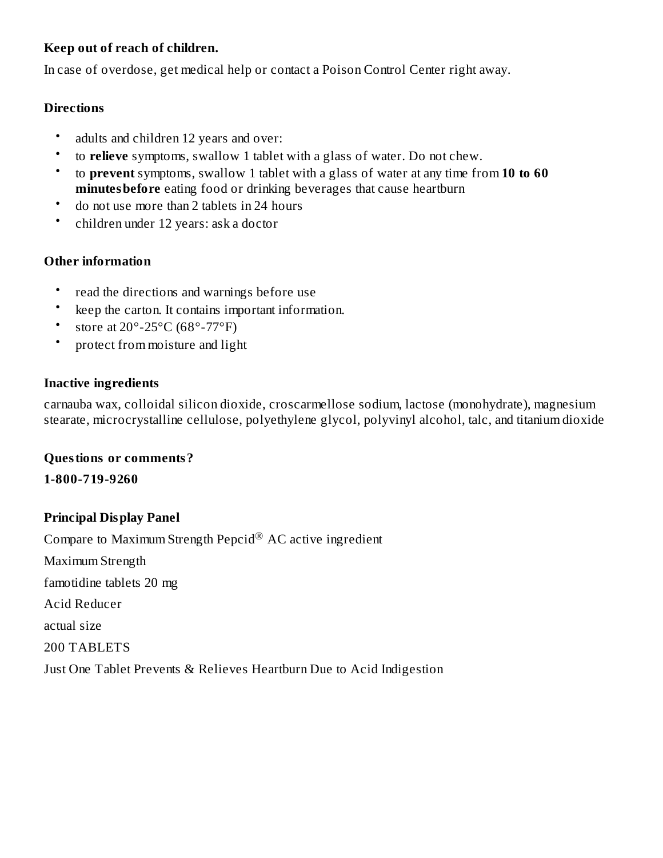# **Keep out of reach of children.**

In case of overdose, get medical help or contact a Poison Control Center right away.

## **Directions**

- adults and children 12 years and over:
- to **relieve** symptoms, swallow 1 tablet with a glass of water. Do not chew.
- to **prevent** symptoms, swallow 1 tablet with a glass of water at any time from **10 to 60 minutesbefore** eating food or drinking beverages that cause heartburn
- do not use more than 2 tablets in 24 hours
- children under 12 years: ask a doctor

# **Other information**

- read the directions and warnings before use
- keep the carton. It contains important information.
- store at 20°-25°C (68°-77°F)
- protect from moisture and light

## **Inactive ingredients**

carnauba wax, colloidal silicon dioxide, croscarmellose sodium, lactose (monohydrate), magnesium stearate, microcrystalline cellulose, polyethylene glycol, polyvinyl alcohol, talc, and titanium dioxide

### **Questions or comments?**

**1-800-719-9260**

# **Principal Display Panel**

Compare to Maximum Strength Pepcid $^{\circledR}$  AC active ingredient Maximum Strength famotidine tablets 20 mg Acid Reducer actual size 200 TABLETS Just One Tablet Prevents & Relieves Heartburn Due to Acid Indigestion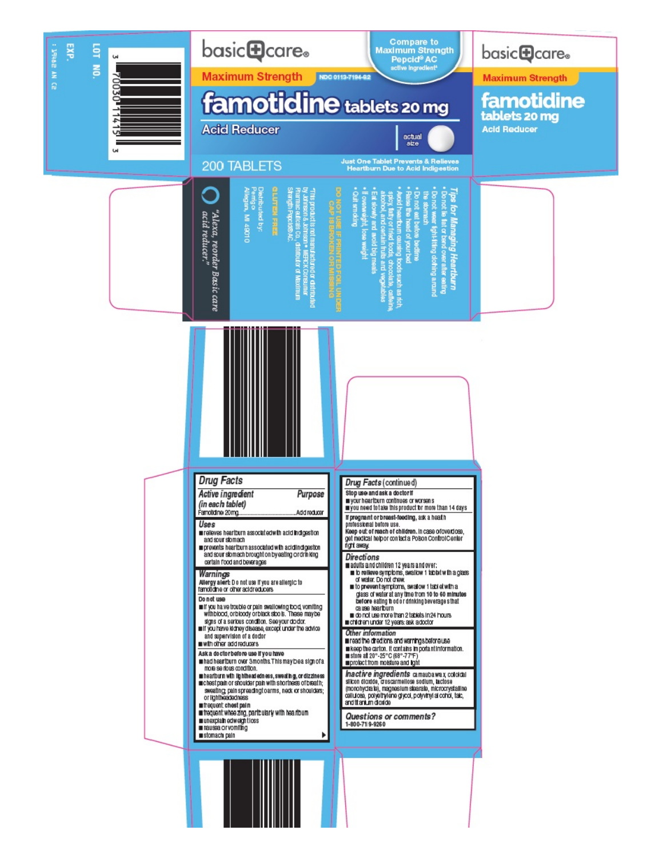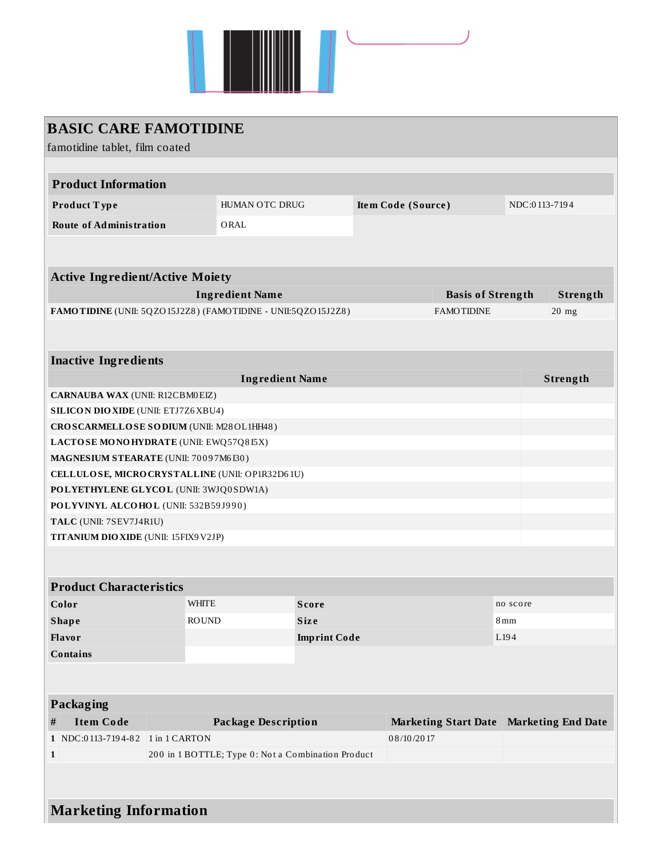

| <b>BASIC CARE FAMOTIDINE</b>                                                      |                            |                                                    |                     |            |                          |                                           |               |  |  |
|-----------------------------------------------------------------------------------|----------------------------|----------------------------------------------------|---------------------|------------|--------------------------|-------------------------------------------|---------------|--|--|
| famotidine tablet, film coated                                                    |                            |                                                    |                     |            |                          |                                           |               |  |  |
|                                                                                   |                            |                                                    |                     |            |                          |                                           |               |  |  |
| <b>Product Information</b>                                                        |                            |                                                    |                     |            |                          |                                           |               |  |  |
| Product Type                                                                      |                            | HUMAN OTC DRUG                                     |                     |            | Item Code (Source)       |                                           | NDC:0113-7194 |  |  |
| <b>Route of Administration</b>                                                    |                            | ORAL                                               |                     |            |                          |                                           |               |  |  |
|                                                                                   |                            |                                                    |                     |            |                          |                                           |               |  |  |
|                                                                                   |                            |                                                    |                     |            |                          |                                           |               |  |  |
| <b>Active Ingredient/Active Moiety</b>                                            |                            |                                                    |                     |            |                          |                                           |               |  |  |
| <b>Ingredient Name</b>                                                            |                            |                                                    |                     |            | <b>Basis of Strength</b> |                                           | Strength      |  |  |
| FAMOTIDINE (UNII: 5QZO15J2Z8) (FAMOTIDINE - UNII:5QZO15J2Z8)<br><b>FAMOTIDINE</b> |                            |                                                    |                     |            |                          |                                           | $20$ mg       |  |  |
|                                                                                   |                            |                                                    |                     |            |                          |                                           |               |  |  |
| <b>Inactive Ingredients</b>                                                       |                            |                                                    |                     |            |                          |                                           |               |  |  |
|                                                                                   |                            | <b>Ingredient Name</b>                             |                     |            |                          |                                           | Strength      |  |  |
| <b>CARNAUBA WAX (UNII: R12CBM0EIZ)</b>                                            |                            |                                                    |                     |            |                          |                                           |               |  |  |
| <b>SILICON DIO XIDE (UNII: ETJ7Z6 XBU4)</b>                                       |                            |                                                    |                     |            |                          |                                           |               |  |  |
| CROSCARMELLOSE SODIUM (UNII: M28OL1HH48)                                          |                            |                                                    |                     |            |                          |                                           |               |  |  |
| LACTOSE MONOHYDRATE (UNII: EWQ57Q8I5X)                                            |                            |                                                    |                     |            |                          |                                           |               |  |  |
| MAGNESIUM STEARATE (UNII: 70097M6I30)                                             |                            |                                                    |                     |            |                          |                                           |               |  |  |
| CELLULOSE, MICRO CRYSTALLINE (UNII: OP1R32D61U)                                   |                            |                                                    |                     |            |                          |                                           |               |  |  |
| POLYETHYLENE GLYCOL (UNII: 3WJQ0SDW1A)                                            |                            |                                                    |                     |            |                          |                                           |               |  |  |
| POLYVINYL ALCOHOL (UNII: 532B59J990)                                              |                            |                                                    |                     |            |                          |                                           |               |  |  |
| TALC (UNII: 7SEV7J4R1U)                                                           |                            |                                                    |                     |            |                          |                                           |               |  |  |
| TITANIUM DIO XIDE (UNII: 15FIX9 V2JP)                                             |                            |                                                    |                     |            |                          |                                           |               |  |  |
|                                                                                   |                            |                                                    |                     |            |                          |                                           |               |  |  |
| <b>Product Characteristics</b>                                                    |                            |                                                    |                     |            |                          |                                           |               |  |  |
|                                                                                   |                            |                                                    |                     |            |                          |                                           |               |  |  |
| Color                                                                             | <b>WHITE</b>               |                                                    | Score               |            |                          | no score                                  |               |  |  |
| <b>Shape</b>                                                                      | <b>ROUND</b>               |                                                    | <b>Size</b>         |            |                          | 8mm                                       |               |  |  |
| Flavor                                                                            |                            |                                                    | <b>Imprint Code</b> |            |                          | L <sub>194</sub>                          |               |  |  |
| <b>Contains</b>                                                                   |                            |                                                    |                     |            |                          |                                           |               |  |  |
|                                                                                   |                            |                                                    |                     |            |                          |                                           |               |  |  |
| Packaging                                                                         |                            |                                                    |                     |            |                          |                                           |               |  |  |
| $\#$<br><b>Item Code</b>                                                          | <b>Package Description</b> |                                                    |                     |            |                          | Marketing Start Date   Marketing End Date |               |  |  |
| 1 NDC:0113-7194-82                                                                | 1 in 1 CARTON              |                                                    |                     | 08/10/2017 |                          |                                           |               |  |  |
| $\mathbf{1}$                                                                      |                            | 200 in 1 BOTTLE; Type 0: Not a Combination Product |                     |            |                          |                                           |               |  |  |
|                                                                                   |                            |                                                    |                     |            |                          |                                           |               |  |  |
|                                                                                   |                            |                                                    |                     |            |                          |                                           |               |  |  |
| <b>Marketing Information</b>                                                      |                            |                                                    |                     |            |                          |                                           |               |  |  |